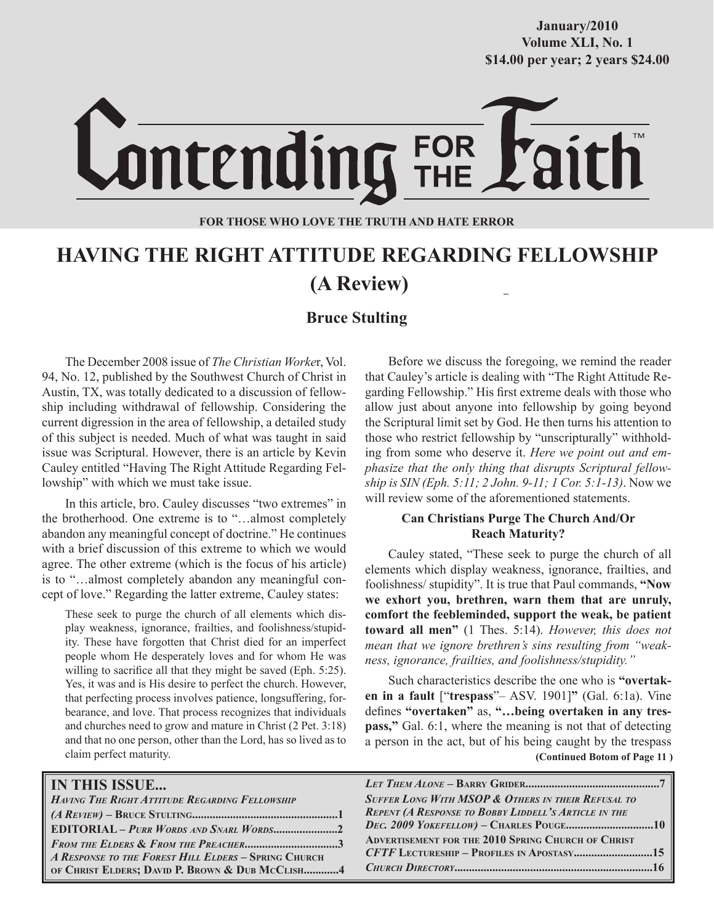# **October/2007 Volume XLI, No. 1 Volume XXXVIII, No. 10 \$14.00 per year; 2 years \$24.00 \$14.00 per year; 2 years \$24.00 January/2010**



FOR<br>THE

### **FOR THOSE WHO LOVE THE TRUTH AND HATE ERROR**

# **HAVING THE RIGHT ATTITUDE REGARDING FELLOWSHIP (A Review)**

## **Bruce Stulting**

The December 2008 issue of *The Christian Worke*r, Vol. 94, No. 12, published by the Southwest Church of Christ in Austin, TX, was totally dedicated to a discussion of fellowship including withdrawal of fellowship. Considering the current digression in the area of fellowship, a detailed study of this subject is needed. Much of what was taught in said issue was Scriptural. However, there is an article by Kevin Cauley entitled "Having The Right Attitude Regarding Fellowship" with which we must take issue.

In this article, bro. Cauley discusses "two extremes" in the brotherhood. One extreme is to "…almost completely abandon any meaningful concept of doctrine." He continues with a brief discussion of this extreme to which we would agree. The other extreme (which is the focus of his article) is to "…almost completely abandon any meaningful concept of love." Regarding the latter extreme, Cauley states:

These seek to purge the church of all elements which display weakness, ignorance, frailties, and foolishness/stupidity. These have forgotten that Christ died for an imperfect people whom He desperately loves and for whom He was willing to sacrifice all that they might be saved (Eph. 5:25). Yes, it was and is His desire to perfect the church. However, that perfecting process involves patience, longsuffering, forbearance, and love. That process recognizes that individuals and churches need to grow and mature in Christ (2 Pet. 3:18) and that no one person, other than the Lord, has so lived as to claim perfect maturity.

Before we discuss the foregoing, we remind the reader that Cauley's article is dealing with "The Right Attitude Regarding Fellowship." His first extreme deals with those who allow just about anyone into fellowship by going beyond the Scriptural limit set by God. He then turns his attention to those who restrict fellowship by "unscripturally" withholding from some who deserve it. *Here we point out and emphasize that the only thing that disrupts Scriptural fellowship is SIN (Eph. 5:11; 2 John. 9-11; 1 Cor. 5:1-13)*. Now we will review some of the aforementioned statements.

#### **Can Christians Purge The Church And/Or Reach Maturity?**

Cauley stated, "These seek to purge the church of all elements which display weakness, ignorance, frailties, and foolishness/ stupidity". It is true that Paul commands, **"Now we exhort you, brethren, warn them that are unruly, comfort the feebleminded, support the weak, be patient toward all men"** (1 Thes. 5:14). *However, this does not mean that we ignore brethren's sins resulting from "weakness, ignorance, frailties, and foolishness/stupidity."*

 **(Continued Botom of Page 11 )** Such characteristics describe the one who is **"overtaken in a fault** ["**trespass**"– ASV. 1901]**"** (Gal. 6:1a). Vine defines **"overtaken"** as, **"…being overtaken in any trespass,"** Gal. 6:1, where the meaning is not that of detecting a person in the act, but of his being caught by the trespass

| <b>IN THIS ISSUE</b>                                  |                                                               |
|-------------------------------------------------------|---------------------------------------------------------------|
| <b>HAVING THE RIGHT ATTITUDE REGARDING FELLOWSHIP</b> | <b>SUFFER LONG WITH MSOP &amp; OTHERS IN THEIR REFUSAL TO</b> |
|                                                       | <b>REPENT (A RESPONSE TO BOBBY LIDDELL'S ARTICLE IN THE</b>   |
| <b>EDITORIAL - PURR WORDS AND SNARL WORDS2</b>        |                                                               |
| <b>FROM THE ELDERS &amp; FROM THE PREACHER3</b>       | <b>ADVERTISEMENT FOR THE 2010 SPRING CHURCH OF CHRIST</b>     |
| A RESPONSE TO THE FOREST HILL ELDERS - SPRING CHURCH  | <b>CFTF LECTURESHIP - PROFILES IN APOSTASY15</b>              |
| OF CHRIST ELDERS; DAVID P. BROWN & DUB MCCLISH4       |                                                               |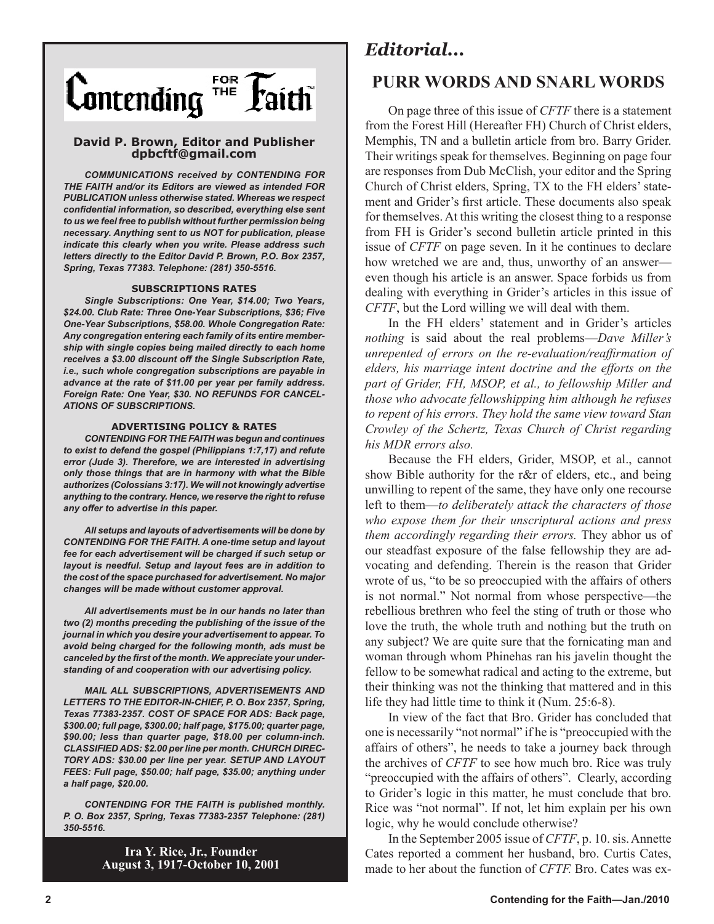

#### **David P. Brown, Editor and Publisher dpbcftf@gmail.com**

*COMMUNICATIONS received by CONTENDING FOR THE FAITH and/or its Editors are viewed as intended FOR PUBLICATION unless otherwise stated. Whereas we respect confidential information, so described, everything else sent to us we feel free to publish without further permission being necessary. Anything sent to us NOT for publication, please indicate this clearly when you write. Please address such letters directly to the Editor David P. Brown, P.O. Box 2357, Spring, Texas 77383. Telephone: (281) 350-5516.*

#### **SUBSCRIPTIONS RATES**

*Single Subscriptions: One Year, \$14.00; Two Years, \$24.00. Club Rate: Three One-Year Subscriptions, \$36; Five One-Year Subscriptions, \$58.00. Whole Congregation Rate: Any congregation entering each family of its entire membership with single copies being mailed directly to each home receives a \$3.00 discount off the Single Subscription Rate, i.e., such whole congregation subscriptions are payable in advance at the rate of \$11.00 per year per family address. Foreign Rate: One Year, \$30. NO REFUNDS FOR CANCEL-ATIONS OF SUBSCRIPTIONS.*

#### **ADVERTISING POLICY & RATES**

*CONTENDING FOR THE FAITH was begun and continues to exist to defend the gospel (Philippians 1:7,17) and refute error (Jude 3). Therefore, we are interested in advertising only those things that are in harmony with what the Bible authorizes (Colossians 3:17). We will not knowingly advertise anything to the contrary. Hence, we reserve the right to refuse any offer to advertise in this paper.*

*All setups and layouts of advertisements will be done by CONTENDING FOR THE FAITH. A one-time setup and layout fee for each advertisement will be charged if such setup or layout is needful. Setup and layout fees are in addition to the cost of the space purchased for advertisement. No major changes will be made without customer approval.*

*All advertisements must be in our hands no later than two (2) months preceding the publishing of the issue of the journal in which you desire your advertisement to appear. To avoid being charged for the following month, ads must be canceled by the first of the month. We appreciate your understanding of and cooperation with our advertising policy.*

*MAIL ALL SUBSCRIPTIONS, ADVERTISEMENTS AND LETTERS TO THE EDITOR-IN-CHIEF, P. O. Box 2357, Spring, Texas 77383-2357. COST OF SPACE FOR ADS: Back page, \$300.00; full page, \$300.00; half page, \$175.00; quarter page, \$90.00; less than quarter page, \$18.00 per column-inch. CLASSIFIED ADS: \$2.00 per line per month. CHURCH DIREC-TORY ADS: \$30.00 per line per year. SETUP AND LAYOUT FEES: Full page, \$50.00; half page, \$35.00; anything under a half page, \$20.00.*

*CONTENDING FOR THE FAITH is published monthly. P. O. Box 2357, Spring, Texas 77383-2357 Telephone: (281) 350-5516.*

> **Ira Y. Rice, Jr., Founder August 3, 1917-October 10, 2001**

# *Editorial...*

## **PURR WORDS AND SNARL WORDS**

On page three of this issue of *CFTF* there is a statement from the Forest Hill (Hereafter FH) Church of Christ elders, Memphis, TN and a bulletin article from bro. Barry Grider. Their writings speak for themselves. Beginning on page four are responses from Dub McClish, your editor and the Spring Church of Christ elders, Spring, TX to the FH elders' statement and Grider's first article. These documents also speak for themselves. At this writing the closest thing to a response from FH is Grider's second bulletin article printed in this issue of *CFTF* on page seven. In it he continues to declare how wretched we are and, thus, unworthy of an answer even though his article is an answer. Space forbids us from dealing with everything in Grider's articles in this issue of *CFTF*, but the Lord willing we will deal with them.

In the FH elders' statement and in Grider's articles *nothing* is said about the real problems—*Dave Miller's unrepented of errors on the re-evaluation/reaffirmation of elders, his marriage intent doctrine and the efforts on the part of Grider, FH, MSOP, et al., to fellowship Miller and those who advocate fellowshipping him although he refuses to repent of his errors. They hold the same view toward Stan Crowley of the Schertz, Texas Church of Christ regarding his MDR errors also.*

Because the FH elders, Grider, MSOP, et al., cannot show Bible authority for the r&r of elders, etc., and being unwilling to repent of the same, they have only one recourse left to them—*to deliberately attack the characters of those who expose them for their unscriptural actions and press them accordingly regarding their errors.* They abhor us of our steadfast exposure of the false fellowship they are advocating and defending. Therein is the reason that Grider wrote of us, "to be so preoccupied with the affairs of others is not normal." Not normal from whose perspective—the rebellious brethren who feel the sting of truth or those who love the truth, the whole truth and nothing but the truth on any subject? We are quite sure that the fornicating man and woman through whom Phinehas ran his javelin thought the fellow to be somewhat radical and acting to the extreme, but their thinking was not the thinking that mattered and in this life they had little time to think it (Num. 25:6-8).

In view of the fact that Bro. Grider has concluded that one is necessarily "not normal" if he is "preoccupied with the affairs of others", he needs to take a journey back through the archives of *CFTF* to see how much bro. Rice was truly "preoccupied with the affairs of others". Clearly, according to Grider's logic in this matter, he must conclude that bro. Rice was "not normal". If not, let him explain per his own logic, why he would conclude otherwise?

In the September 2005 issue of *CFTF*, p. 10. sis. Annette Cates reported a comment her husband, bro. Curtis Cates, made to her about the function of *CFTF.* Bro. Cates was ex-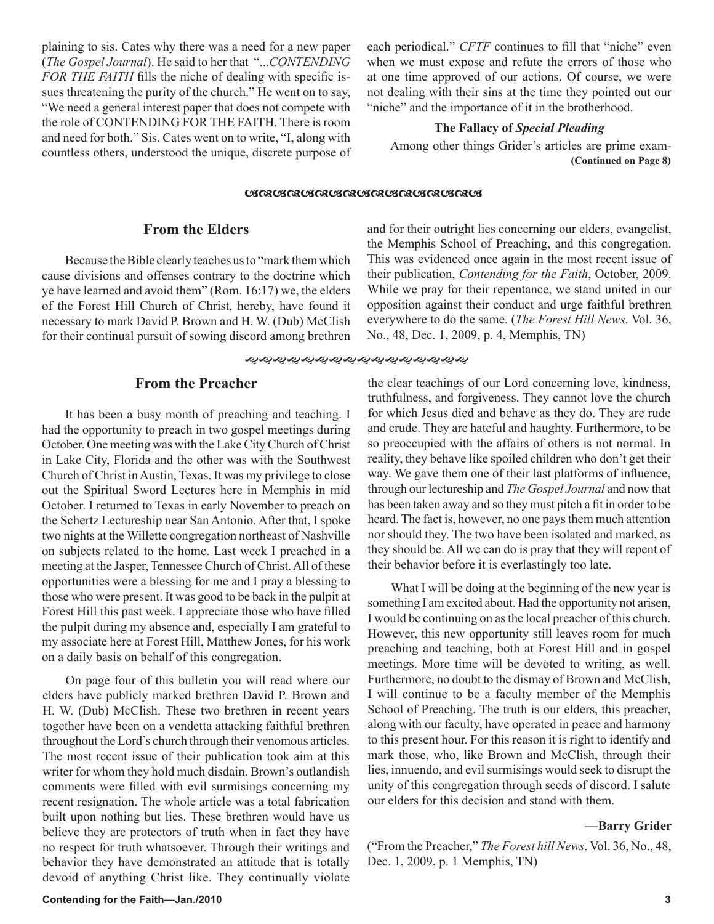plaining to sis. Cates why there was a need for a new paper (*The Gospel Journal*). He said to her that "...*CONTENDING FOR THE FAITH* fills the niche of dealing with specific issues threatening the purity of the church." He went on to say, "We need a general interest paper that does not compete with the role of CONTENDING FOR THE FAITH. There is room and need for both." Sis. Cates went on to write, "I, along with countless others, understood the unique, discrete purpose of each periodical." *CFTF* continues to fill that "niche" even when we must expose and refute the errors of those who at one time approved of our actions. Of course, we were not dealing with their sins at the time they pointed out our "niche" and the importance of it in the brotherhood.

#### **The Fallacy of** *Special Pleading*

Among other things Grider's articles are prime exam-  **(Continued on Page 8)**

#### 

#### **From the Elders**

Because the Bible clearly teaches us to "mark them which cause divisions and offenses contrary to the doctrine which ye have learned and avoid them" (Rom. 16:17) we, the elders of the Forest Hill Church of Christ, hereby, have found it necessary to mark David P. Brown and H. W. (Dub) McClish for their continual pursuit of sowing discord among brethren

#### **From the Preacher**

It has been a busy month of preaching and teaching. I had the opportunity to preach in two gospel meetings during October. One meeting was with the Lake City Church of Christ in Lake City, Florida and the other was with the Southwest Church of Christ in Austin, Texas. It was my privilege to close out the Spiritual Sword Lectures here in Memphis in mid October. I returned to Texas in early November to preach on the Schertz Lectureship near San Antonio. After that, I spoke two nights at the Willette congregation northeast of Nashville on subjects related to the home. Last week I preached in a meeting at the Jasper, Tennessee Church of Christ. All of these opportunities were a blessing for me and I pray a blessing to those who were present. It was good to be back in the pulpit at Forest Hill this past week. I appreciate those who have filled the pulpit during my absence and, especially I am grateful to my associate here at Forest Hill, Matthew Jones, for his work on a daily basis on behalf of this congregation.

On page four of this bulletin you will read where our elders have publicly marked brethren David P. Brown and H. W. (Dub) McClish. These two brethren in recent years together have been on a vendetta attacking faithful brethren throughout the Lord's church through their venomous articles. The most recent issue of their publication took aim at this writer for whom they hold much disdain. Brown's outlandish comments were filled with evil surmisings concerning my recent resignation. The whole article was a total fabrication built upon nothing but lies. These brethren would have us believe they are protectors of truth when in fact they have no respect for truth whatsoever. Through their writings and behavior they have demonstrated an attitude that is totally devoid of anything Christ like. They continually violate and for their outright lies concerning our elders, evangelist, the Memphis School of Preaching, and this congregation. This was evidenced once again in the most recent issue of their publication, *Contending for the Faith*, October, 2009. While we pray for their repentance, we stand united in our opposition against their conduct and urge faithful brethren everywhere to do the same. (*The Forest Hill News*. Vol. 36, No., 48, Dec. 1, 2009, p. 4, Memphis, TN)

the clear teachings of our Lord concerning love, kindness, truthfulness, and forgiveness. They cannot love the church for which Jesus died and behave as they do. They are rude and crude. They are hateful and haughty. Furthermore, to be so preoccupied with the affairs of others is not normal. In reality, they behave like spoiled children who don't get their way. We gave them one of their last platforms of influence, through our lectureship and *The Gospel Journal* and now that has been taken away and so they must pitch a fit in order to be heard. The fact is, however, no one pays them much attention nor should they. The two have been isolated and marked, as they should be. All we can do is pray that they will repent of their behavior before it is everlastingly too late.

What I will be doing at the beginning of the new year is something I am excited about. Had the opportunity not arisen, I would be continuing on as the local preacher of this church. However, this new opportunity still leaves room for much preaching and teaching, both at Forest Hill and in gospel meetings. More time will be devoted to writing, as well. Furthermore, no doubt to the dismay of Brown and McClish, I will continue to be a faculty member of the Memphis School of Preaching. The truth is our elders, this preacher, along with our faculty, have operated in peace and harmony to this present hour. For this reason it is right to identify and mark those, who, like Brown and McClish, through their lies, innuendo, and evil surmisings would seek to disrupt the unity of this congregation through seeds of discord. I salute our elders for this decision and stand with them.

#### **—Barry Grider**

("From the Preacher," *The Forest hill News*. Vol. 36, No., 48, Dec. 1, 2009, p. 1 Memphis, TN)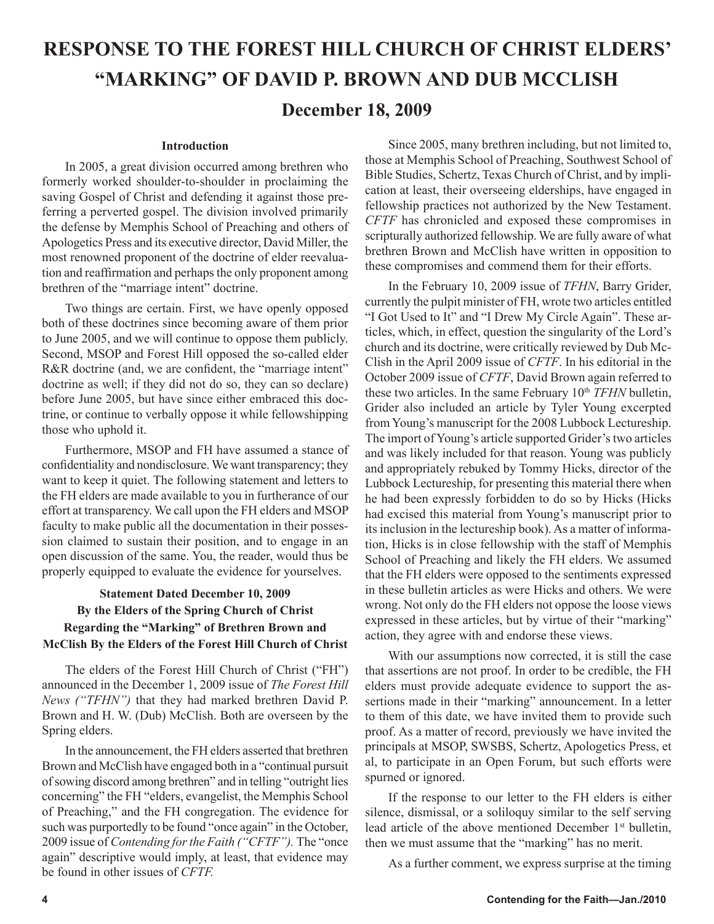# **RESPONSE TO THE FOREST HILL CHURCH OF CHRIST ELDERS' "MARKING" OF DAVID P. BROWN AND DUB MCCLISH**

# **December 18, 2009**

#### **Introduction**

In 2005, a great division occurred among brethren who formerly worked shoulder-to-shoulder in proclaiming the saving Gospel of Christ and defending it against those preferring a perverted gospel. The division involved primarily the defense by Memphis School of Preaching and others of Apologetics Press and its executive director, David Miller, the most renowned proponent of the doctrine of elder reevaluation and reaffirmation and perhaps the only proponent among brethren of the "marriage intent" doctrine.

Two things are certain. First, we have openly opposed both of these doctrines since becoming aware of them prior to June 2005, and we will continue to oppose them publicly. Second, MSOP and Forest Hill opposed the so-called elder R&R doctrine (and, we are confident, the "marriage intent" doctrine as well; if they did not do so, they can so declare) before June 2005, but have since either embraced this doctrine, or continue to verbally oppose it while fellowshipping those who uphold it.

Furthermore, MSOP and FH have assumed a stance of confidentiality and nondisclosure. We want transparency; they want to keep it quiet. The following statement and letters to the FH elders are made available to you in furtherance of our effort at transparency. We call upon the FH elders and MSOP faculty to make public all the documentation in their possession claimed to sustain their position, and to engage in an open discussion of the same. You, the reader, would thus be properly equipped to evaluate the evidence for yourselves.

## **Statement Dated December 10, 2009 By the Elders of the Spring Church of Christ Regarding the "Marking" of Brethren Brown and McClish By the Elders of the Forest Hill Church of Christ**

The elders of the Forest Hill Church of Christ ("FH") announced in the December 1, 2009 issue of *The Forest Hill News ("TFHN")* that they had marked brethren David P. Brown and H. W. (Dub) McClish. Both are overseen by the Spring elders.

In the announcement, the FH elders asserted that brethren Brown and McClish have engaged both in a "continual pursuit of sowing discord among brethren" and in telling "outright lies concerning" the FH "elders, evangelist, the Memphis School of Preaching," and the FH congregation. The evidence for such was purportedly to be found "once again" in the October, 2009 issue of *Contending for the Faith ("CFTF").* The "once again" descriptive would imply, at least, that evidence may be found in other issues of *CFTF.*

Since 2005, many brethren including, but not limited to, those at Memphis School of Preaching, Southwest School of Bible Studies, Schertz, Texas Church of Christ, and by implication at least, their overseeing elderships, have engaged in fellowship practices not authorized by the New Testament. *CFTF* has chronicled and exposed these compromises in scripturally authorized fellowship. We are fully aware of what brethren Brown and McClish have written in opposition to these compromises and commend them for their efforts.

In the February 10, 2009 issue of *TFHN*, Barry Grider, currently the pulpit minister of FH, wrote two articles entitled "I Got Used to It" and "I Drew My Circle Again". These articles, which, in effect, question the singularity of the Lord's church and its doctrine, were critically reviewed by Dub Mc-Clish in the April 2009 issue of *CFTF*. In his editorial in the October 2009 issue of *CFTF*, David Brown again referred to these two articles. In the same February 10<sup>th</sup> *TFHN* bulletin, Grider also included an article by Tyler Young excerpted from Young's manuscript for the 2008 Lubbock Lectureship. The import of Young's article supported Grider's two articles and was likely included for that reason. Young was publicly and appropriately rebuked by Tommy Hicks, director of the Lubbock Lectureship, for presenting this material there when he had been expressly forbidden to do so by Hicks (Hicks had excised this material from Young's manuscript prior to its inclusion in the lectureship book). As a matter of information, Hicks is in close fellowship with the staff of Memphis School of Preaching and likely the FH elders. We assumed that the FH elders were opposed to the sentiments expressed in these bulletin articles as were Hicks and others. We were wrong. Not only do the FH elders not oppose the loose views expressed in these articles, but by virtue of their "marking" action, they agree with and endorse these views.

With our assumptions now corrected, it is still the case that assertions are not proof. In order to be credible, the FH elders must provide adequate evidence to support the assertions made in their "marking" announcement. In a letter to them of this date, we have invited them to provide such proof. As a matter of record, previously we have invited the principals at MSOP, SWSBS, Schertz, Apologetics Press, et al, to participate in an Open Forum, but such efforts were spurned or ignored.

If the response to our letter to the FH elders is either silence, dismissal, or a soliloquy similar to the self serving lead article of the above mentioned December 1<sup>st</sup> bulletin, then we must assume that the "marking" has no merit.

As a further comment, we express surprise at the timing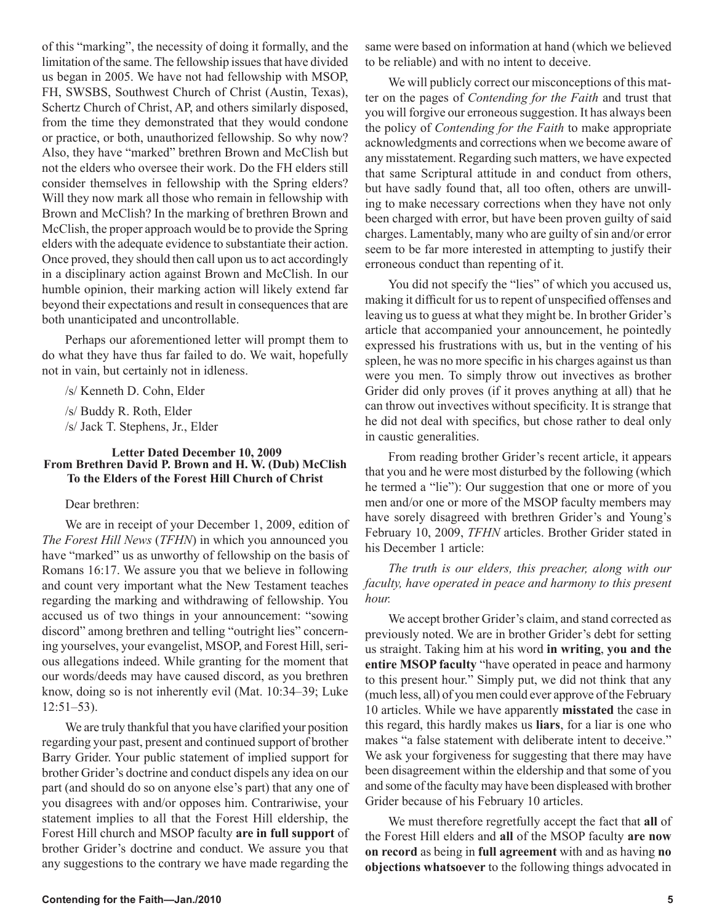of this "marking", the necessity of doing it formally, and the limitation of the same. The fellowship issues that have divided us began in 2005. We have not had fellowship with MSOP, FH, SWSBS, Southwest Church of Christ (Austin, Texas), Schertz Church of Christ, AP, and others similarly disposed, from the time they demonstrated that they would condone or practice, or both, unauthorized fellowship. So why now? Also, they have "marked" brethren Brown and McClish but not the elders who oversee their work. Do the FH elders still consider themselves in fellowship with the Spring elders? Will they now mark all those who remain in fellowship with Brown and McClish? In the marking of brethren Brown and McClish, the proper approach would be to provide the Spring elders with the adequate evidence to substantiate their action. Once proved, they should then call upon us to act accordingly in a disciplinary action against Brown and McClish. In our humble opinion, their marking action will likely extend far beyond their expectations and result in consequences that are both unanticipated and uncontrollable.

Perhaps our aforementioned letter will prompt them to do what they have thus far failed to do. We wait, hopefully not in vain, but certainly not in idleness.

/s/ Kenneth D. Cohn, Elder

/s/ Buddy R. Roth, Elder /s/ Jack T. Stephens, Jr., Elder

#### **Letter Dated December 10, 2009 From Brethren David P. Brown and H. W. (Dub) McClish To the Elders of the Forest Hill Church of Christ**

#### Dear brethren:

We are in receipt of your December 1, 2009, edition of *The Forest Hill News* (*TFHN*) in which you announced you have "marked" us as unworthy of fellowship on the basis of Romans 16:17. We assure you that we believe in following and count very important what the New Testament teaches regarding the marking and withdrawing of fellowship. You accused us of two things in your announcement: "sowing discord" among brethren and telling "outright lies" concerning yourselves, your evangelist, MSOP, and Forest Hill, serious allegations indeed. While granting for the moment that our words/deeds may have caused discord, as you brethren know, doing so is not inherently evil (Mat. 10:34–39; Luke 12:51–53).

We are truly thankful that you have clarified your position regarding your past, present and continued support of brother Barry Grider. Your public statement of implied support for brother Grider's doctrine and conduct dispels any idea on our part (and should do so on anyone else's part) that any one of you disagrees with and/or opposes him. Contrariwise, your statement implies to all that the Forest Hill eldership, the Forest Hill church and MSOP faculty **are in full support** of brother Grider's doctrine and conduct. We assure you that any suggestions to the contrary we have made regarding the same were based on information at hand (which we believed to be reliable) and with no intent to deceive.

We will publicly correct our misconceptions of this matter on the pages of *Contending for the Faith* and trust that you will forgive our erroneous suggestion. It has always been the policy of *Contending for the Faith* to make appropriate acknowledgments and corrections when we become aware of any misstatement. Regarding such matters, we have expected that same Scriptural attitude in and conduct from others, but have sadly found that, all too often, others are unwilling to make necessary corrections when they have not only been charged with error, but have been proven guilty of said charges. Lamentably, many who are guilty of sin and/or error seem to be far more interested in attempting to justify their erroneous conduct than repenting of it.

You did not specify the "lies" of which you accused us, making it difficult for us to repent of unspecified offenses and leaving us to guess at what they might be. In brother Grider's article that accompanied your announcement, he pointedly expressed his frustrations with us, but in the venting of his spleen, he was no more specific in his charges against us than were you men. To simply throw out invectives as brother Grider did only proves (if it proves anything at all) that he can throw out invectives without specificity. It is strange that he did not deal with specifics, but chose rather to deal only in caustic generalities.

From reading brother Grider's recent article, it appears that you and he were most disturbed by the following (which he termed a "lie"): Our suggestion that one or more of you men and/or one or more of the MSOP faculty members may have sorely disagreed with brethren Grider's and Young's February 10, 2009, *TFHN* articles. Brother Grider stated in his December 1 article:

*The truth is our elders, this preacher, along with our faculty, have operated in peace and harmony to this present hour.*

We accept brother Grider's claim, and stand corrected as previously noted. We are in brother Grider's debt for setting us straight. Taking him at his word **in writing**, **you and the entire MSOP faculty** "have operated in peace and harmony to this present hour." Simply put, we did not think that any (much less, all) of you men could ever approve of the February 10 articles. While we have apparently **misstated** the case in this regard, this hardly makes us **liars**, for a liar is one who makes "a false statement with deliberate intent to deceive." We ask your forgiveness for suggesting that there may have been disagreement within the eldership and that some of you and some of the faculty may have been displeased with brother Grider because of his February 10 articles.

We must therefore regretfully accept the fact that **all** of the Forest Hill elders and **all** of the MSOP faculty **are now on record** as being in **full agreement** with and as having **no objections whatsoever** to the following things advocated in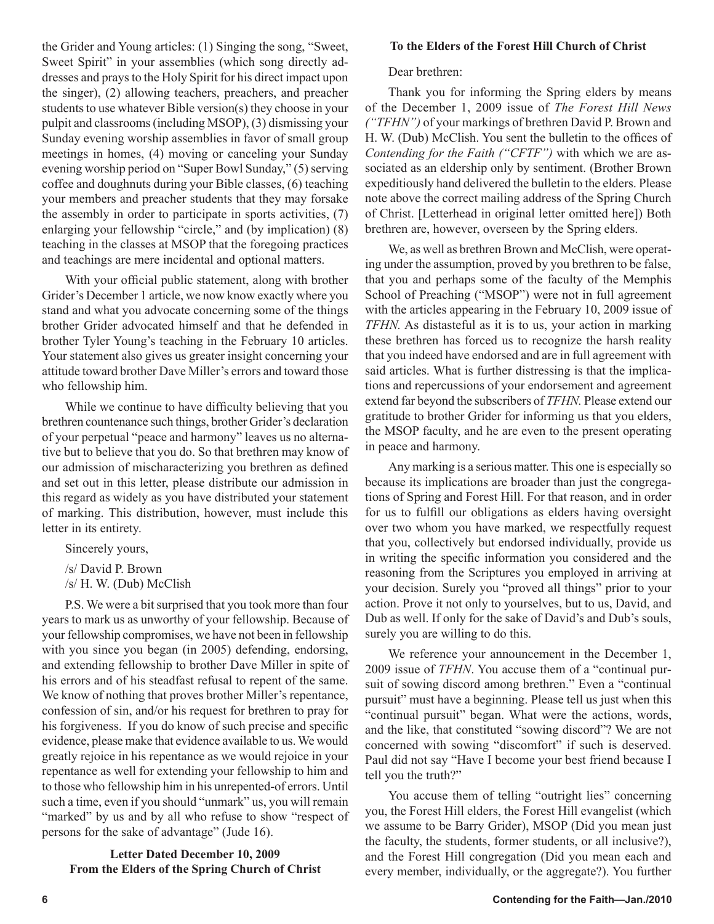the Grider and Young articles: (1) Singing the song, "Sweet, Sweet Spirit" in your assemblies (which song directly addresses and prays to the Holy Spirit for his direct impact upon the singer), (2) allowing teachers, preachers, and preacher students to use whatever Bible version(s) they choose in your pulpit and classrooms (including MSOP), (3) dismissing your Sunday evening worship assemblies in favor of small group meetings in homes, (4) moving or canceling your Sunday evening worship period on "Super Bowl Sunday," (5) serving coffee and doughnuts during your Bible classes, (6) teaching your members and preacher students that they may forsake the assembly in order to participate in sports activities, (7) enlarging your fellowship "circle," and (by implication) (8) teaching in the classes at MSOP that the foregoing practices and teachings are mere incidental and optional matters.

With your official public statement, along with brother Grider's December 1 article, we now know exactly where you stand and what you advocate concerning some of the things brother Grider advocated himself and that he defended in brother Tyler Young's teaching in the February 10 articles. Your statement also gives us greater insight concerning your attitude toward brother Dave Miller's errors and toward those who fellowship him.

While we continue to have difficulty believing that you brethren countenance such things, brother Grider's declaration of your perpetual "peace and harmony" leaves us no alternative but to believe that you do. So that brethren may know of our admission of mischaracterizing you brethren as defined and set out in this letter, please distribute our admission in this regard as widely as you have distributed your statement of marking. This distribution, however, must include this letter in its entirety.

Sincerely yours,

/s/ David P. Brown

/s/ H. W. (Dub) McClish

P.S. We were a bit surprised that you took more than four years to mark us as unworthy of your fellowship. Because of your fellowship compromises, we have not been in fellowship with you since you began (in 2005) defending, endorsing, and extending fellowship to brother Dave Miller in spite of his errors and of his steadfast refusal to repent of the same. We know of nothing that proves brother Miller's repentance, confession of sin, and/or his request for brethren to pray for his forgiveness. If you do know of such precise and specific evidence, please make that evidence available to us. We would greatly rejoice in his repentance as we would rejoice in your repentance as well for extending your fellowship to him and to those who fellowship him in his unrepented-of errors. Until such a time, even if you should "unmark" us, you will remain "marked" by us and by all who refuse to show "respect of persons for the sake of advantage" (Jude 16).

#### **Letter Dated December 10, 2009 From the Elders of the Spring Church of Christ**

#### **To the Elders of the Forest Hill Church of Christ**

Dear brethren:

Thank you for informing the Spring elders by means of the December 1, 2009 issue of *The Forest Hill News ("TFHN")* of your markings of brethren David P. Brown and H. W. (Dub) McClish. You sent the bulletin to the offices of *Contending for the Faith ("CFTF")* with which we are associated as an eldership only by sentiment. (Brother Brown expeditiously hand delivered the bulletin to the elders. Please note above the correct mailing address of the Spring Church of Christ. [Letterhead in original letter omitted here]) Both brethren are, however, overseen by the Spring elders.

We, as well as brethren Brown and McClish, were operating under the assumption, proved by you brethren to be false, that you and perhaps some of the faculty of the Memphis School of Preaching ("MSOP") were not in full agreement with the articles appearing in the February 10, 2009 issue of *TFHN.* As distasteful as it is to us, your action in marking these brethren has forced us to recognize the harsh reality that you indeed have endorsed and are in full agreement with said articles. What is further distressing is that the implications and repercussions of your endorsement and agreement extend far beyond the subscribers of *TFHN.* Please extend our gratitude to brother Grider for informing us that you elders, the MSOP faculty, and he are even to the present operating in peace and harmony.

Any marking is a serious matter. This one is especially so because its implications are broader than just the congregations of Spring and Forest Hill. For that reason, and in order for us to fulfill our obligations as elders having oversight over two whom you have marked, we respectfully request that you, collectively but endorsed individually, provide us in writing the specific information you considered and the reasoning from the Scriptures you employed in arriving at your decision. Surely you "proved all things" prior to your action. Prove it not only to yourselves, but to us, David, and Dub as well. If only for the sake of David's and Dub's souls, surely you are willing to do this.

We reference your announcement in the December 1, 2009 issue of *TFHN*. You accuse them of a "continual pursuit of sowing discord among brethren." Even a "continual pursuit" must have a beginning. Please tell us just when this "continual pursuit" began. What were the actions, words, and the like, that constituted "sowing discord"? We are not concerned with sowing "discomfort" if such is deserved. Paul did not say "Have I become your best friend because I tell you the truth?"

You accuse them of telling "outright lies" concerning you, the Forest Hill elders, the Forest Hill evangelist (which we assume to be Barry Grider), MSOP (Did you mean just the faculty, the students, former students, or all inclusive?), and the Forest Hill congregation (Did you mean each and every member, individually, or the aggregate?). You further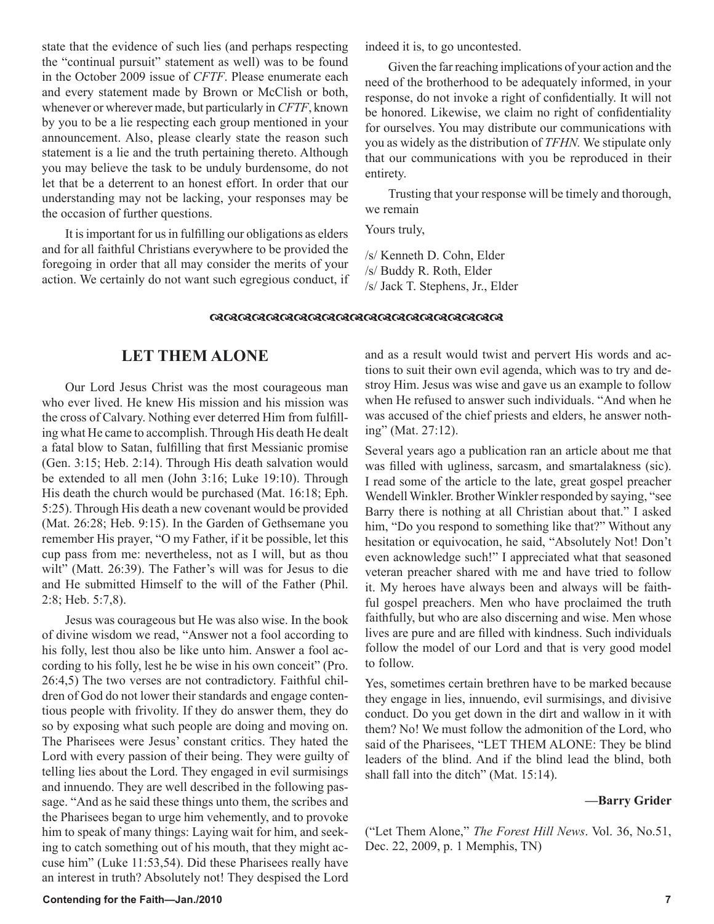state that the evidence of such lies (and perhaps respecting the "continual pursuit" statement as well) was to be found in the October 2009 issue of *CFTF*. Please enumerate each and every statement made by Brown or McClish or both, whenever or wherever made, but particularly in *CFTF*, known by you to be a lie respecting each group mentioned in your announcement. Also, please clearly state the reason such statement is a lie and the truth pertaining thereto. Although you may believe the task to be unduly burdensome, do not let that be a deterrent to an honest effort. In order that our understanding may not be lacking, your responses may be the occasion of further questions.

It is important for us in fulfilling our obligations as elders and for all faithful Christians everywhere to be provided the foregoing in order that all may consider the merits of your action. We certainly do not want such egregious conduct, if indeed it is, to go uncontested.

Given the far reaching implications of your action and the need of the brotherhood to be adequately informed, in your response, do not invoke a right of confidentially. It will not be honored. Likewise, we claim no right of confidentiality for ourselves. You may distribute our communications with you as widely as the distribution of *TFHN.* We stipulate only that our communications with you be reproduced in their entirety.

Trusting that your response will be timely and thorough, we remain

Yours truly,

/s/ Kenneth D. Cohn, Elder /s/ Buddy R. Roth, Elder /s/ Jack T. Stephens, Jr., Elder

#### 0808080808080808080808080808080808

### **LET THEM ALONE**

Our Lord Jesus Christ was the most courageous man who ever lived. He knew His mission and his mission was the cross of Calvary. Nothing ever deterred Him from fulfilling what He came to accomplish. Through His death He dealt a fatal blow to Satan, fulfilling that first Messianic promise (Gen. 3:15; Heb. 2:14). Through His death salvation would be extended to all men (John 3:16; Luke 19:10). Through His death the church would be purchased (Mat. 16:18; Eph. 5:25). Through His death a new covenant would be provided (Mat. 26:28; Heb. 9:15). In the Garden of Gethsemane you remember His prayer, "O my Father, if it be possible, let this cup pass from me: nevertheless, not as I will, but as thou wilt" (Matt. 26:39). The Father's will was for Jesus to die and He submitted Himself to the will of the Father (Phil. 2:8; Heb. 5:7,8).

Jesus was courageous but He was also wise. In the book of divine wisdom we read, "Answer not a fool according to his folly, lest thou also be like unto him. Answer a fool according to his folly, lest he be wise in his own conceit" (Pro. 26:4,5) The two verses are not contradictory. Faithful children of God do not lower their standards and engage contentious people with frivolity. If they do answer them, they do so by exposing what such people are doing and moving on. The Pharisees were Jesus' constant critics. They hated the Lord with every passion of their being. They were guilty of telling lies about the Lord. They engaged in evil surmisings and innuendo. They are well described in the following passage. "And as he said these things unto them, the scribes and the Pharisees began to urge him vehemently, and to provoke him to speak of many things: Laying wait for him, and seeking to catch something out of his mouth, that they might accuse him" (Luke 11:53,54). Did these Pharisees really have an interest in truth? Absolutely not! They despised the Lord and as a result would twist and pervert His words and actions to suit their own evil agenda, which was to try and destroy Him. Jesus was wise and gave us an example to follow when He refused to answer such individuals. "And when he was accused of the chief priests and elders, he answer nothing" (Mat. 27:12).

Several years ago a publication ran an article about me that was filled with ugliness, sarcasm, and smartalakness (sic). I read some of the article to the late, great gospel preacher Wendell Winkler. Brother Winkler responded by saying, "see Barry there is nothing at all Christian about that." I asked him, "Do you respond to something like that?" Without any hesitation or equivocation, he said, "Absolutely Not! Don't even acknowledge such!" I appreciated what that seasoned veteran preacher shared with me and have tried to follow it. My heroes have always been and always will be faithful gospel preachers. Men who have proclaimed the truth faithfully, but who are also discerning and wise. Men whose lives are pure and are filled with kindness. Such individuals follow the model of our Lord and that is very good model to follow.

Yes, sometimes certain brethren have to be marked because they engage in lies, innuendo, evil surmisings, and divisive conduct. Do you get down in the dirt and wallow in it with them? No! We must follow the admonition of the Lord, who said of the Pharisees, "LET THEM ALONE: They be blind leaders of the blind. And if the blind lead the blind, both shall fall into the ditch" (Mat. 15:14).

#### **—Barry Grider**

("Let Them Alone," *The Forest Hill News*. Vol. 36, No.51, Dec. 22, 2009, p. 1 Memphis, TN)

#### **Contending for the Faith—Jan./2010 7**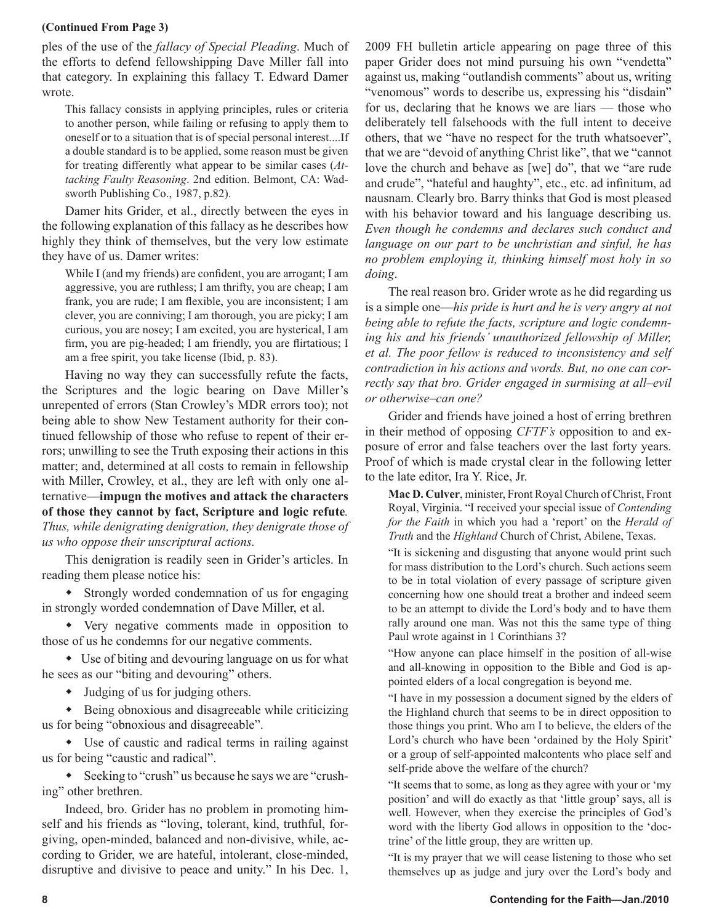#### **(Continued From Page 3)**

ples of the use of the *fallacy of Special Pleading*. Much of the efforts to defend fellowshipping Dave Miller fall into that category. In explaining this fallacy T. Edward Damer wrote.

This fallacy consists in applying principles, rules or criteria to another person, while failing or refusing to apply them to oneself or to a situation that is of special personal interest....If a double standard is to be applied, some reason must be given for treating differently what appear to be similar cases (*Attacking Faulty Reasoning*. 2nd edition. Belmont, CA: Wadsworth Publishing Co., 1987, p.82).

Damer hits Grider, et al., directly between the eyes in the following explanation of this fallacy as he describes how highly they think of themselves, but the very low estimate they have of us. Damer writes:

While I (and my friends) are confident, you are arrogant; I am aggressive, you are ruthless; I am thrifty, you are cheap; I am frank, you are rude; I am flexible, you are inconsistent; I am clever, you are conniving; I am thorough, you are picky; I am curious, you are nosey; I am excited, you are hysterical, I am firm, you are pig-headed; I am friendly, you are flirtatious; I am a free spirit, you take license (Ibid, p. 83).

Having no way they can successfully refute the facts, the Scriptures and the logic bearing on Dave Miller's unrepented of errors (Stan Crowley's MDR errors too); not being able to show New Testament authority for their continued fellowship of those who refuse to repent of their errors; unwilling to see the Truth exposing their actions in this matter; and, determined at all costs to remain in fellowship with Miller, Crowley, et al., they are left with only one alternative—**impugn the motives and attack the characters of those they cannot by fact, Scripture and logic refute***. Thus, while denigrating denigration, they denigrate those of us who oppose their unscriptural actions.*

This denigration is readily seen in Grider's articles. In reading them please notice his:

 Strongly worded condemnation of us for engaging in strongly worded condemnation of Dave Miller, et al.

 Very negative comments made in opposition to those of us he condemns for our negative comments.

 Use of biting and devouring language on us for what he sees as our "biting and devouring" others.

Judging of us for judging others.

 Being obnoxious and disagreeable while criticizing us for being "obnoxious and disagreeable".

 Use of caustic and radical terms in railing against us for being "caustic and radical".

 Seeking to "crush" us because he says we are "crushing" other brethren.

Indeed, bro. Grider has no problem in promoting himself and his friends as "loving, tolerant, kind, truthful, forgiving, open-minded, balanced and non-divisive, while, according to Grider, we are hateful, intolerant, close-minded, disruptive and divisive to peace and unity." In his Dec. 1, 2009 FH bulletin article appearing on page three of this paper Grider does not mind pursuing his own "vendetta" against us, making "outlandish comments" about us, writing "venomous" words to describe us, expressing his "disdain" for us, declaring that he knows we are liars — those who deliberately tell falsehoods with the full intent to deceive others, that we "have no respect for the truth whatsoever", that we are "devoid of anything Christ like", that we "cannot love the church and behave as [we] do", that we "are rude and crude", "hateful and haughty", etc., etc. ad infinitum, ad nausnam. Clearly bro. Barry thinks that God is most pleased with his behavior toward and his language describing us. *Even though he condemns and declares such conduct and language on our part to be unchristian and sinful, he has no problem employing it, thinking himself most holy in so doing*.

The real reason bro. Grider wrote as he did regarding us is a simple one—*his pride is hurt and he is very angry at not being able to refute the facts, scripture and logic condemning his and his friends' unauthorized fellowship of Miller, et al. The poor fellow is reduced to inconsistency and self contradiction in his actions and words. But, no one can correctly say that bro. Grider engaged in surmising at all–evil or otherwise–can one?*

Grider and friends have joined a host of erring brethren in their method of opposing *CFTF's* opposition to and exposure of error and false teachers over the last forty years. Proof of which is made crystal clear in the following letter to the late editor, Ira Y. Rice, Jr.

**Mac D. Culver**, minister, Front Royal Church of Christ, Front Royal, Virginia. "I received your special issue of *Contending for the Faith* in which you had a 'report' on the *Herald of Truth* and the *Highland* Church of Christ, Abilene, Texas.

"It is sickening and disgusting that anyone would print such for mass distribution to the Lord's church. Such actions seem to be in total violation of every passage of scripture given concerning how one should treat a brother and indeed seem to be an attempt to divide the Lord's body and to have them rally around one man. Was not this the same type of thing Paul wrote against in 1 Corinthians 3?

"How anyone can place himself in the position of all-wise and all-knowing in opposition to the Bible and God is appointed elders of a local congregation is beyond me.

"I have in my possession a document signed by the elders of the Highland church that seems to be in direct opposition to those things you print. Who am I to believe, the elders of the Lord's church who have been 'ordained by the Holy Spirit' or a group of self-appointed malcontents who place self and self-pride above the welfare of the church?

"It seems that to some, as long as they agree with your or 'my position' and will do exactly as that 'little group' says, all is well. However, when they exercise the principles of God's word with the liberty God allows in opposition to the 'doctrine' of the little group, they are written up.

"It is my prayer that we will cease listening to those who set themselves up as judge and jury over the Lord's body and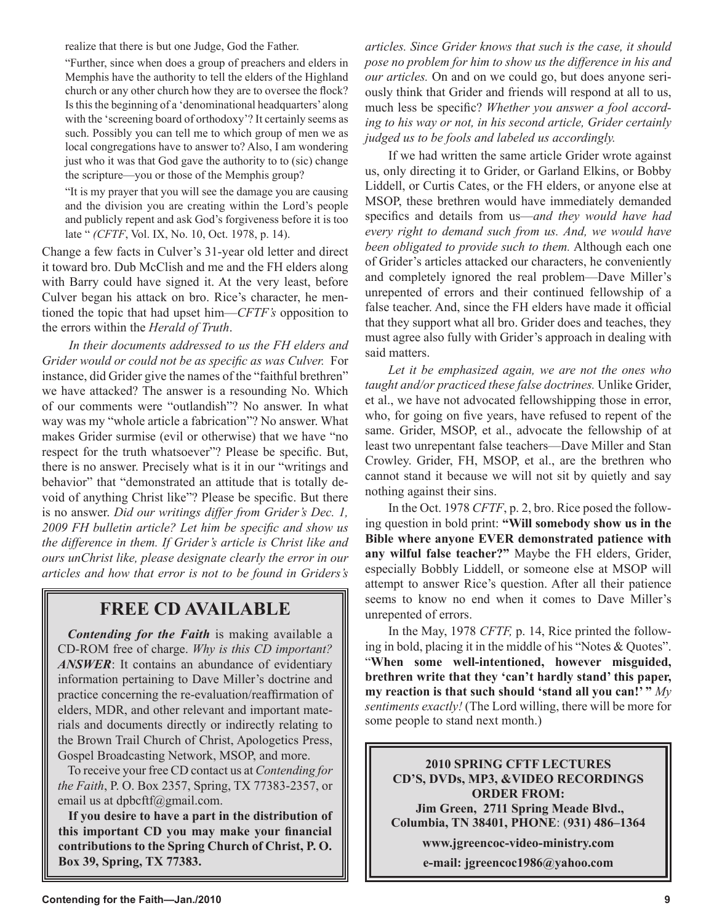realize that there is but one Judge, God the Father.

"Further, since when does a group of preachers and elders in Memphis have the authority to tell the elders of the Highland church or any other church how they are to oversee the flock? Is this the beginning of a 'denominational headquarters' along with the 'screening board of orthodoxy'? It certainly seems as such. Possibly you can tell me to which group of men we as local congregations have to answer to? Also, I am wondering just who it was that God gave the authority to to (sic) change the scripture—you or those of the Memphis group?

"It is my prayer that you will see the damage you are causing and the division you are creating within the Lord's people and publicly repent and ask God's forgiveness before it is too late " *(CFTF*, Vol. IX, No. 10, Oct. 1978, p. 14).

Change a few facts in Culver's 31-year old letter and direct it toward bro. Dub McClish and me and the FH elders along with Barry could have signed it. At the very least, before Culver began his attack on bro. Rice's character, he mentioned the topic that had upset him—*CFTF's* opposition to the errors within the *Herald of Truth*.

*In their documents addressed to us the FH elders and Grider would or could not be as specific as was Culver.* For instance, did Grider give the names of the "faithful brethren" we have attacked? The answer is a resounding No. Which of our comments were "outlandish"? No answer. In what way was my "whole article a fabrication"? No answer. What makes Grider surmise (evil or otherwise) that we have "no respect for the truth whatsoever"? Please be specific. But, there is no answer. Precisely what is it in our "writings and behavior" that "demonstrated an attitude that is totally devoid of anything Christ like"? Please be specific. But there is no answer. *Did our writings differ from Grider's Dec. 1, 2009 FH bulletin article? Let him be specific and show us the difference in them. If Grider's article is Christ like and ours unChrist like, please designate clearly the error in our articles and how that error is not to be found in Griders's* 

# **FREE CD AVAILABLE**

*Contending for the Faith* is making available a CD-ROM free of charge. *Why is this CD important? ANSWER*: It contains an abundance of evidentiary information pertaining to Dave Miller's doctrine and practice concerning the re-evaluation/reaffirmation of elders, MDR, and other relevant and important materials and documents directly or indirectly relating to the Brown Trail Church of Christ, Apologetics Press, Gospel Broadcasting Network, MSOP, and more.

To receive your free CD contact us at *Contending for the Faith*, P. O. Box 2357, Spring, TX 77383-2357, or email us at dpbcftf@gmail.com.

**If you desire to have a part in the distribution of this important CD you may make your financial contributions to the Spring Church of Christ, P. O. Box 39, Spring, TX 77383.**

*articles. Since Grider knows that such is the case, it should pose no problem for him to show us the difference in his and our articles.* On and on we could go, but does anyone seriously think that Grider and friends will respond at all to us, much less be specific? *Whether you answer a fool according to his way or not, in his second article, Grider certainly judged us to be fools and labeled us accordingly.*

If we had written the same article Grider wrote against us, only directing it to Grider, or Garland Elkins, or Bobby Liddell, or Curtis Cates, or the FH elders, or anyone else at MSOP, these brethren would have immediately demanded specifics and details from us—*and they would have had every right to demand such from us. And, we would have been obligated to provide such to them.* Although each one of Grider's articles attacked our characters, he conveniently and completely ignored the real problem—Dave Miller's unrepented of errors and their continued fellowship of a false teacher. And, since the FH elders have made it official that they support what all bro. Grider does and teaches, they must agree also fully with Grider's approach in dealing with said matters.

*Let it be emphasized again, we are not the ones who taught and/or practiced these false doctrines.* Unlike Grider, et al., we have not advocated fellowshipping those in error, who, for going on five years, have refused to repent of the same. Grider, MSOP, et al., advocate the fellowship of at least two unrepentant false teachers—Dave Miller and Stan Crowley. Grider, FH, MSOP, et al., are the brethren who cannot stand it because we will not sit by quietly and say nothing against their sins.

In the Oct. 1978 *CFTF*, p. 2, bro. Rice posed the following question in bold print: **"Will somebody show us in the Bible where anyone EVER demonstrated patience with any wilful false teacher?"** Maybe the FH elders, Grider, especially Bobbly Liddell, or someone else at MSOP will attempt to answer Rice's question. After all their patience seems to know no end when it comes to Dave Miller's unrepented of errors.

In the May, 1978 *CFTF,* p. 14, Rice printed the following in bold, placing it in the middle of his "Notes & Quotes". "**When some well-intentioned, however misguided, brethren write that they 'can't hardly stand' this paper, my reaction is that such should 'stand all you can!' "** *My sentiments exactly!* (The Lord willing, there will be more for some people to stand next month.)

**2010 SPRING CFTF LECTURES CD'S, DVDs, MP3, &VIDEO RECORDINGS ORDER FROM: Jim Green, 2711 Spring Meade Blvd., Columbia, TN 38401, PHONE**: (**931) 486–1364**

**www.jgreencoc-video-ministry.com**

**e-mail: jgreencoc1986@yahoo.com**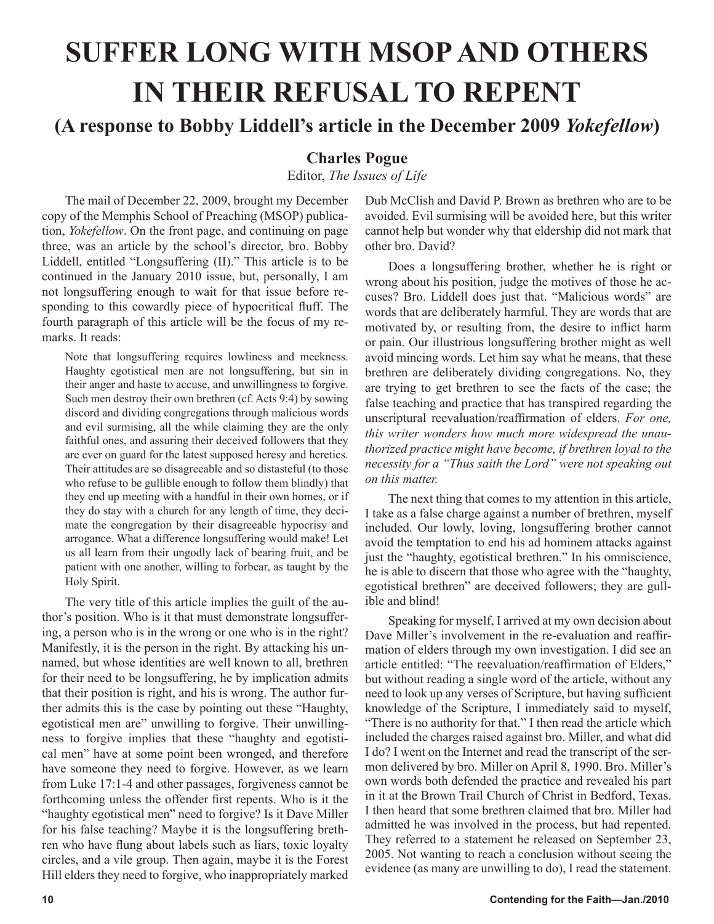# **SUFFER LONG WITH MSOP AND OTHERS IN THEIR REFUSAL TO REPENT**

**(A response to Bobby Liddell's article in the December 2009** *Yokefellow***)**

# **Charles Pogue**

Editor, *The Issues of Life*

The mail of December 22, 2009, brought my December copy of the Memphis School of Preaching (MSOP) publication, *Yokefellow*. On the front page, and continuing on page three, was an article by the school's director, bro. Bobby Liddell, entitled "Longsuffering (II)." This article is to be continued in the January 2010 issue, but, personally, I am not longsuffering enough to wait for that issue before responding to this cowardly piece of hypocritical fluff. The fourth paragraph of this article will be the focus of my remarks. It reads:

Note that longsuffering requires lowliness and meekness. Haughty egotistical men are not longsuffering, but sin in their anger and haste to accuse, and unwillingness to forgive. Such men destroy their own brethren (cf. Acts 9:4) by sowing discord and dividing congregations through malicious words and evil surmising, all the while claiming they are the only faithful ones, and assuring their deceived followers that they are ever on guard for the latest supposed heresy and heretics. Their attitudes are so disagreeable and so distasteful (to those who refuse to be gullible enough to follow them blindly) that they end up meeting with a handful in their own homes, or if they do stay with a church for any length of time, they decimate the congregation by their disagreeable hypocrisy and arrogance. What a difference longsuffering would make! Let us all learn from their ungodly lack of bearing fruit, and be patient with one another, willing to forbear, as taught by the Holy Spirit.

The very title of this article implies the guilt of the author's position. Who is it that must demonstrate longsuffering, a person who is in the wrong or one who is in the right? Manifestly, it is the person in the right. By attacking his unnamed, but whose identities are well known to all, brethren for their need to be longsuffering, he by implication admits that their position is right, and his is wrong. The author further admits this is the case by pointing out these "Haughty, egotistical men are" unwilling to forgive. Their unwillingness to forgive implies that these "haughty and egotistical men" have at some point been wronged, and therefore have someone they need to forgive. However, as we learn from Luke 17:1-4 and other passages, forgiveness cannot be forthcoming unless the offender first repents. Who is it the "haughty egotistical men" need to forgive? Is it Dave Miller for his false teaching? Maybe it is the longsuffering brethren who have flung about labels such as liars, toxic loyalty circles, and a vile group. Then again, maybe it is the Forest Hill elders they need to forgive, who inappropriately marked Dub McClish and David P. Brown as brethren who are to be avoided. Evil surmising will be avoided here, but this writer cannot help but wonder why that eldership did not mark that other bro. David?

Does a longsuffering brother, whether he is right or wrong about his position, judge the motives of those he accuses? Bro. Liddell does just that. "Malicious words" are words that are deliberately harmful. They are words that are motivated by, or resulting from, the desire to inflict harm or pain. Our illustrious longsuffering brother might as well avoid mincing words. Let him say what he means, that these brethren are deliberately dividing congregations. No, they are trying to get brethren to see the facts of the case; the false teaching and practice that has transpired regarding the unscriptural reevaluation/reaffirmation of elders. *For one, this writer wonders how much more widespread the unauthorized practice might have become, if brethren loyal to the necessity for a "Thus saith the Lord" were not speaking out on this matter.* 

The next thing that comes to my attention in this article, I take as a false charge against a number of brethren, myself included. Our lowly, loving, longsuffering brother cannot avoid the temptation to end his ad hominem attacks against just the "haughty, egotistical brethren." In his omniscience, he is able to discern that those who agree with the "haughty, egotistical brethren" are deceived followers; they are gullible and blind!

Speaking for myself, I arrived at my own decision about Dave Miller's involvement in the re-evaluation and reaffirmation of elders through my own investigation. I did see an article entitled: "The reevaluation/reaffirmation of Elders," but without reading a single word of the article, without any need to look up any verses of Scripture, but having sufficient knowledge of the Scripture, I immediately said to myself, "There is no authority for that." I then read the article which included the charges raised against bro. Miller, and what did I do? I went on the Internet and read the transcript of the sermon delivered by bro. Miller on April 8, 1990. Bro. Miller's own words both defended the practice and revealed his part in it at the Brown Trail Church of Christ in Bedford, Texas. I then heard that some brethren claimed that bro. Miller had admitted he was involved in the process, but had repented. They referred to a statement he released on September 23, 2005. Not wanting to reach a conclusion without seeing the evidence (as many are unwilling to do), I read the statement.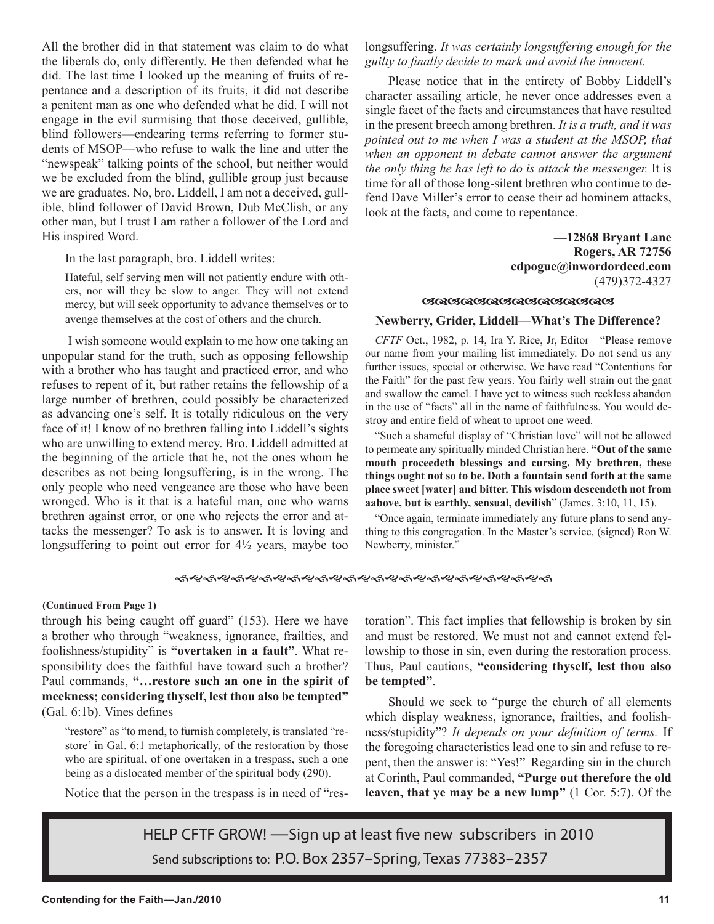All the brother did in that statement was claim to do what the liberals do, only differently. He then defended what he did. The last time I looked up the meaning of fruits of repentance and a description of its fruits, it did not describe a penitent man as one who defended what he did. I will not engage in the evil surmising that those deceived, gullible, blind followers—endearing terms referring to former students of MSOP—who refuse to walk the line and utter the "newspeak" talking points of the school, but neither would we be excluded from the blind, gullible group just because we are graduates. No, bro. Liddell, I am not a deceived, gullible, blind follower of David Brown, Dub McClish, or any other man, but I trust I am rather a follower of the Lord and His inspired Word.

In the last paragraph, bro. Liddell writes:

Hateful, self serving men will not patiently endure with others, nor will they be slow to anger. They will not extend mercy, but will seek opportunity to advance themselves or to avenge themselves at the cost of others and the church.

I wish someone would explain to me how one taking an unpopular stand for the truth, such as opposing fellowship with a brother who has taught and practiced error, and who refuses to repent of it, but rather retains the fellowship of a large number of brethren, could possibly be characterized as advancing one's self. It is totally ridiculous on the very face of it! I know of no brethren falling into Liddell's sights who are unwilling to extend mercy. Bro. Liddell admitted at the beginning of the article that he, not the ones whom he describes as not being longsuffering, is in the wrong. The only people who need vengeance are those who have been wronged. Who is it that is a hateful man, one who warns brethren against error, or one who rejects the error and attacks the messenger? To ask is to answer. It is loving and longsuffering to point out error for  $4\frac{1}{2}$  years, maybe too longsuffering. *It was certainly longsuffering enough for the guilty to finally decide to mark and avoid the innocent.*

Please notice that in the entirety of Bobby Liddell's character assailing article, he never once addresses even a single facet of the facts and circumstances that have resulted in the present breech among brethren. *It is a truth, and it was pointed out to me when I was a student at the MSOP, that when an opponent in debate cannot answer the argument the only thing he has left to do is attack the messenger.* It is time for all of those long-silent brethren who continue to defend Dave Miller's error to cease their ad hominem attacks, look at the facts, and come to repentance.

> **—12868 Bryant Lane Rogers, AR 72756 cdpogue@inwordordeed.com** (479)372-4327

#### **GRAGAGAGAGAGAGAGAG**

#### **Newberry, Grider, Liddell—What's The Difference?**

*CFTF* Oct., 1982, p. 14, Ira Y. Rice, Jr, Editor—"Please remove our name from your mailing list immediately. Do not send us any further issues, special or otherwise. We have read "Contentions for the Faith" for the past few years. You fairly well strain out the gnat and swallow the camel. I have yet to witness such reckless abandon in the use of "facts" all in the name of faithfulness. You would destroy and entire field of wheat to uproot one weed.

"Such a shameful display of "Christian love" will not be allowed to permeate any spiritually minded Christian here. **"Out of the same mouth proceedeth blessings and cursing. My brethren, these things ought not so to be. Doth a fountain send forth at the same place sweet [water] and bitter. This wisdom descendeth not from aabove, but is earthly, sensual, devilish**" (James. 3:10, 11, 15).

"Once again, terminate immediately any future plans to send anything to this congregation. In the Master's service, (signed) Ron W. Newberry, minister."

#### *ଈୡ*୰ଈୡ୰୰ୡ୶ୠଌ୰୰ୡୖଈୡ୰୰ଌୖଈଌ୰ଌଌୖ୶ଌ୵ଌୠଌ୰୰

#### **(Continued From Page 1)**

through his being caught off guard" (153). Here we have a brother who through "weakness, ignorance, frailties, and foolishness/stupidity" is **"overtaken in a fault"**. What responsibility does the faithful have toward such a brother? Paul commands, **"…restore such an one in the spirit of meekness; considering thyself, lest thou also be tempted"** (Gal. 6:1b). Vines defines

"restore" as "to mend, to furnish completely, is translated "restore' in Gal. 6:1 metaphorically, of the restoration by those who are spiritual, of one overtaken in a trespass, such a one being as a dislocated member of the spiritual body (290).

Notice that the person in the trespass is in need of "res-

toration". This fact implies that fellowship is broken by sin and must be restored. We must not and cannot extend fellowship to those in sin, even during the restoration process. Thus, Paul cautions, **"considering thyself, lest thou also be tempted"**.

Should we seek to "purge the church of all elements which display weakness, ignorance, frailties, and foolishness/stupidity"? *It depends on your definition of terms.* If the foregoing characteristics lead one to sin and refuse to repent, then the answer is: "Yes!" Regarding sin in the church at Corinth, Paul commanded, **"Purge out therefore the old leaven, that ye may be a new lump"** (1 Cor. 5:7). Of the

HELP CFTF GROW! —Sign up at least five new subscribers in 2010 Send subscriptions to: P.O. Box 2357–Spring, Texas 77383–2357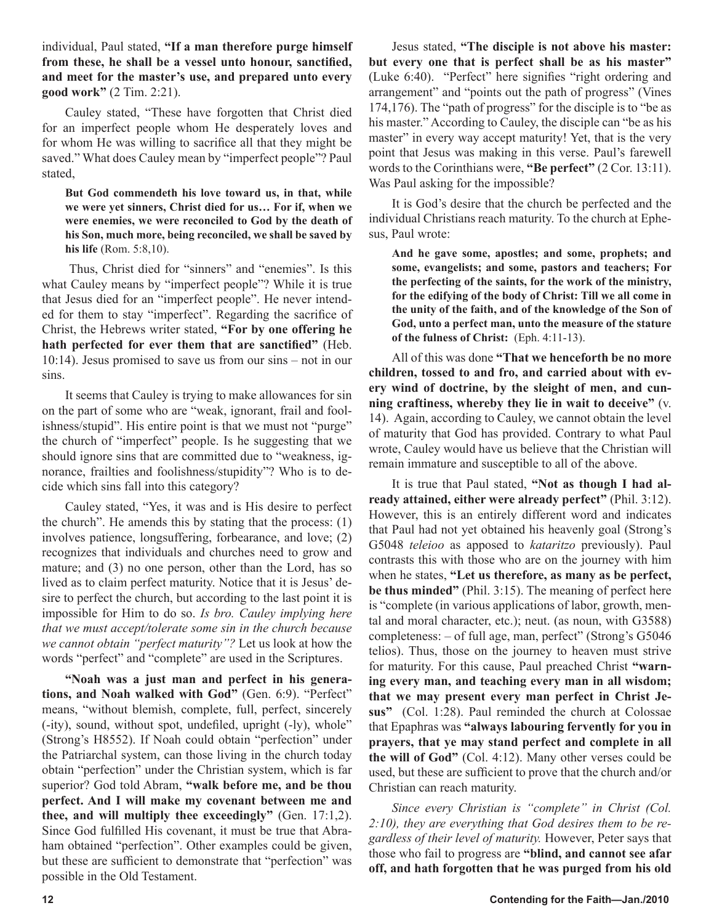individual, Paul stated, **"If a man therefore purge himself from these, he shall be a vessel unto honour, sanctified, and meet for the master's use, and prepared unto every good work"** (2 Tim. 2:21).

Cauley stated, "These have forgotten that Christ died for an imperfect people whom He desperately loves and for whom He was willing to sacrifice all that they might be saved." What does Cauley mean by "imperfect people"? Paul stated,

**But God commendeth his love toward us, in that, while we were yet sinners, Christ died for us… For if, when we were enemies, we were reconciled to God by the death of his Son, much more, being reconciled, we shall be saved by his life** (Rom. 5:8,10).

 Thus, Christ died for "sinners" and "enemies". Is this what Cauley means by "imperfect people"? While it is true that Jesus died for an "imperfect people". He never intended for them to stay "imperfect". Regarding the sacrifice of Christ, the Hebrews writer stated, **"For by one offering he hath perfected for ever them that are sanctified"** (Heb. 10:14). Jesus promised to save us from our sins – not in our sins.

It seems that Cauley is trying to make allowances for sin on the part of some who are "weak, ignorant, frail and foolishness/stupid". His entire point is that we must not "purge" the church of "imperfect" people. Is he suggesting that we should ignore sins that are committed due to "weakness, ignorance, frailties and foolishness/stupidity"? Who is to decide which sins fall into this category?

Cauley stated, "Yes, it was and is His desire to perfect the church". He amends this by stating that the process: (1) involves patience, longsuffering, forbearance, and love; (2) recognizes that individuals and churches need to grow and mature; and (3) no one person, other than the Lord, has so lived as to claim perfect maturity. Notice that it is Jesus' desire to perfect the church, but according to the last point it is impossible for Him to do so. *Is bro. Cauley implying here that we must accept/tolerate some sin in the church because we cannot obtain "perfect maturity"?* Let us look at how the words "perfect" and "complete" are used in the Scriptures.

**"Noah was a just man and perfect in his generations, and Noah walked with God"** (Gen. 6:9). "Perfect" means, "without blemish, complete, full, perfect, sincerely (-ity), sound, without spot, undefiled, upright (-ly), whole" (Strong's H8552). If Noah could obtain "perfection" under the Patriarchal system, can those living in the church today obtain "perfection" under the Christian system, which is far superior? God told Abram, **"walk before me, and be thou perfect. And I will make my covenant between me and thee, and will multiply thee exceedingly"** (Gen. 17:1,2). Since God fulfilled His covenant, it must be true that Abraham obtained "perfection". Other examples could be given, but these are sufficient to demonstrate that "perfection" was possible in the Old Testament.

Jesus stated, **"The disciple is not above his master: but every one that is perfect shall be as his master"** (Luke 6:40). "Perfect" here signifies "right ordering and arrangement" and "points out the path of progress" (Vines 174,176). The "path of progress" for the disciple is to "be as his master." According to Cauley, the disciple can "be as his master" in every way accept maturity! Yet, that is the very point that Jesus was making in this verse. Paul's farewell words to the Corinthians were, **"Be perfect"** (2 Cor. 13:11). Was Paul asking for the impossible?

It is God's desire that the church be perfected and the individual Christians reach maturity. To the church at Ephesus, Paul wrote:

**And he gave some, apostles; and some, prophets; and some, evangelists; and some, pastors and teachers; For the perfecting of the saints, for the work of the ministry, for the edifying of the body of Christ: Till we all come in the unity of the faith, and of the knowledge of the Son of God, unto a perfect man, unto the measure of the stature of the fulness of Christ:** (Eph. 4:11-13).

All of this was done **"That we henceforth be no more children, tossed to and fro, and carried about with every wind of doctrine, by the sleight of men, and cunning craftiness, whereby they lie in wait to deceive"** (v. 14). Again, according to Cauley, we cannot obtain the level of maturity that God has provided. Contrary to what Paul wrote, Cauley would have us believe that the Christian will remain immature and susceptible to all of the above.

It is true that Paul stated, **"Not as though I had already attained, either were already perfect"** (Phil. 3:12). However, this is an entirely different word and indicates that Paul had not yet obtained his heavenly goal (Strong's G5048 *teleioo* as apposed to *kataritzo* previously). Paul contrasts this with those who are on the journey with him when he states, **"Let us therefore, as many as be perfect, be thus minded"** (Phil. 3:15). The meaning of perfect here is "complete (in various applications of labor, growth, mental and moral character, etc.); neut. (as noun, with G3588) completeness: – of full age, man, perfect" (Strong's G5046 telios). Thus, those on the journey to heaven must strive for maturity. For this cause, Paul preached Christ **"warning every man, and teaching every man in all wisdom; that we may present every man perfect in Christ Jesus"** (Col. 1:28). Paul reminded the church at Colossae that Epaphras was **"always labouring fervently for you in prayers, that ye may stand perfect and complete in all the will of God"** (Col. 4:12). Many other verses could be used, but these are sufficient to prove that the church and/or Christian can reach maturity.

*Since every Christian is "complete" in Christ (Col. 2:10), they are everything that God desires them to be regardless of their level of maturity.* However, Peter says that those who fail to progress are **"blind, and cannot see afar off, and hath forgotten that he was purged from his old**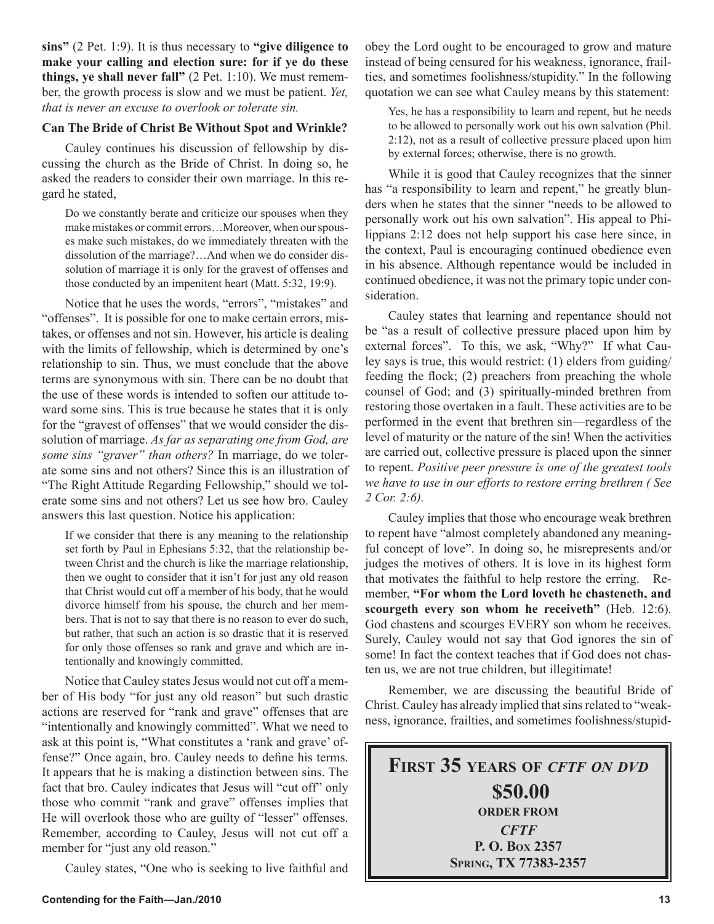**sins"** (2 Pet. 1:9). It is thus necessary to **"give diligence to make your calling and election sure: for if ye do these things, ye shall never fall"** (2 Pet. 1:10). We must remember, the growth process is slow and we must be patient. *Yet, that is never an excuse to overlook or tolerate sin.*

#### **Can The Bride of Christ Be Without Spot and Wrinkle?**

Cauley continues his discussion of fellowship by discussing the church as the Bride of Christ. In doing so, he asked the readers to consider their own marriage. In this regard he stated,

Do we constantly berate and criticize our spouses when they make mistakes or commit errors…Moreover, when our spouses make such mistakes, do we immediately threaten with the dissolution of the marriage?…And when we do consider dissolution of marriage it is only for the gravest of offenses and those conducted by an impenitent heart (Matt. 5:32, 19:9).

Notice that he uses the words, "errors", "mistakes" and "offenses". It is possible for one to make certain errors, mistakes, or offenses and not sin. However, his article is dealing with the limits of fellowship, which is determined by one's relationship to sin. Thus, we must conclude that the above terms are synonymous with sin. There can be no doubt that the use of these words is intended to soften our attitude toward some sins. This is true because he states that it is only for the "gravest of offenses" that we would consider the dissolution of marriage. *As far as separating one from God, are some sins "graver" than others?* In marriage, do we tolerate some sins and not others? Since this is an illustration of "The Right Attitude Regarding Fellowship," should we tolerate some sins and not others? Let us see how bro. Cauley answers this last question. Notice his application:

If we consider that there is any meaning to the relationship set forth by Paul in Ephesians 5:32, that the relationship between Christ and the church is like the marriage relationship, then we ought to consider that it isn't for just any old reason that Christ would cut off a member of his body, that he would divorce himself from his spouse, the church and her members. That is not to say that there is no reason to ever do such, but rather, that such an action is so drastic that it is reserved for only those offenses so rank and grave and which are intentionally and knowingly committed.

Notice that Cauley states Jesus would not cut off a member of His body "for just any old reason" but such drastic actions are reserved for "rank and grave" offenses that are "intentionally and knowingly committed". What we need to ask at this point is, "What constitutes a 'rank and grave' offense?" Once again, bro. Cauley needs to define his terms. It appears that he is making a distinction between sins. The fact that bro. Cauley indicates that Jesus will "cut off" only those who commit "rank and grave" offenses implies that He will overlook those who are guilty of "lesser" offenses. Remember, according to Cauley, Jesus will not cut off a member for "just any old reason."

Cauley states, "One who is seeking to live faithful and

obey the Lord ought to be encouraged to grow and mature instead of being censured for his weakness, ignorance, frailties, and sometimes foolishness/stupidity." In the following quotation we can see what Cauley means by this statement:

Yes, he has a responsibility to learn and repent, but he needs to be allowed to personally work out his own salvation (Phil. 2:12), not as a result of collective pressure placed upon him by external forces; otherwise, there is no growth.

While it is good that Cauley recognizes that the sinner has "a responsibility to learn and repent," he greatly blunders when he states that the sinner "needs to be allowed to personally work out his own salvation". His appeal to Philippians 2:12 does not help support his case here since, in the context, Paul is encouraging continued obedience even in his absence. Although repentance would be included in continued obedience, it was not the primary topic under consideration.

Cauley states that learning and repentance should not be "as a result of collective pressure placed upon him by external forces". To this, we ask, "Why?" If what Cauley says is true, this would restrict: (1) elders from guiding/ feeding the flock; (2) preachers from preaching the whole counsel of God; and (3) spiritually-minded brethren from restoring those overtaken in a fault. These activities are to be performed in the event that brethren sin—regardless of the level of maturity or the nature of the sin! When the activities are carried out, collective pressure is placed upon the sinner to repent. *Positive peer pressure is one of the greatest tools we have to use in our efforts to restore erring brethren ( See 2 Cor. 2:6).*

Cauley implies that those who encourage weak brethren to repent have "almost completely abandoned any meaningful concept of love". In doing so, he misrepresents and/or judges the motives of others. It is love in its highest form that motivates the faithful to help restore the erring. Remember, **"For whom the Lord loveth he chasteneth, and scourgeth every son whom he receiveth"** (Heb. 12:6). God chastens and scourges EVERY son whom he receives. Surely, Cauley would not say that God ignores the sin of some! In fact the context teaches that if God does not chasten us, we are not true children, but illegitimate!

Remember, we are discussing the beautiful Bride of Christ. Cauley has already implied that sins related to "weakness, ignorance, frailties, and sometimes foolishness/stupid-

**FIRST 35 YEARS OF** *CFTF ON DVD* **\$50.00 ORDER FROM** *CFTF* **P. O. BOX 2357 SPRING, TX 77383-2357**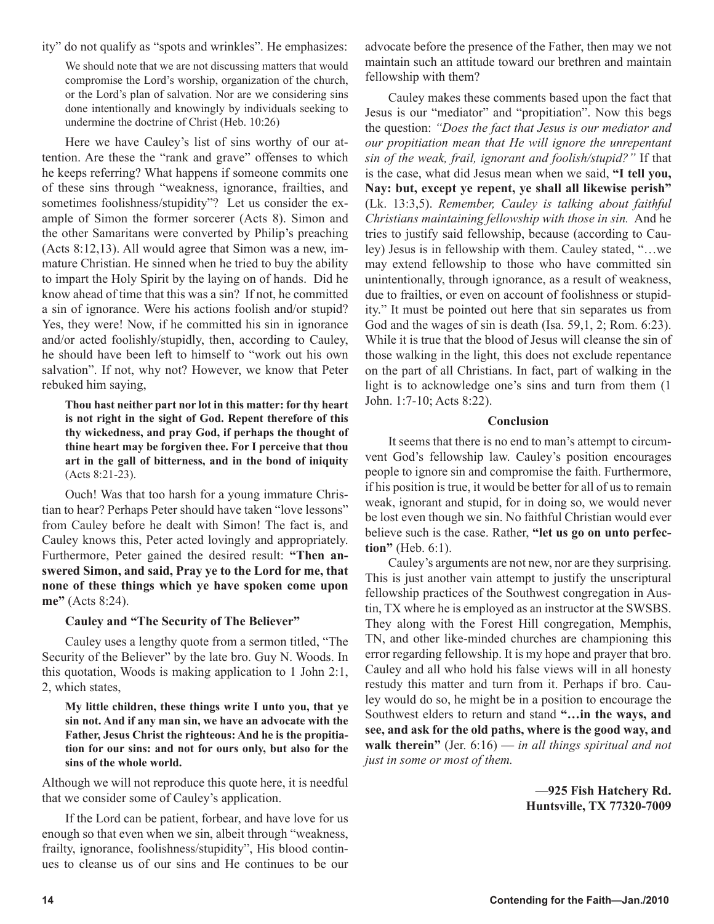ity" do not qualify as "spots and wrinkles". He emphasizes:

We should note that we are not discussing matters that would compromise the Lord's worship, organization of the church, or the Lord's plan of salvation. Nor are we considering sins done intentionally and knowingly by individuals seeking to undermine the doctrine of Christ (Heb. 10:26)

Here we have Cauley's list of sins worthy of our attention. Are these the "rank and grave" offenses to which he keeps referring? What happens if someone commits one of these sins through "weakness, ignorance, frailties, and sometimes foolishness/stupidity"? Let us consider the example of Simon the former sorcerer (Acts 8). Simon and the other Samaritans were converted by Philip's preaching (Acts 8:12,13). All would agree that Simon was a new, immature Christian. He sinned when he tried to buy the ability to impart the Holy Spirit by the laying on of hands. Did he know ahead of time that this was a sin? If not, he committed a sin of ignorance. Were his actions foolish and/or stupid? Yes, they were! Now, if he committed his sin in ignorance and/or acted foolishly/stupidly, then, according to Cauley, he should have been left to himself to "work out his own salvation". If not, why not? However, we know that Peter rebuked him saying,

**Thou hast neither part nor lot in this matter: for thy heart is not right in the sight of God. Repent therefore of this thy wickedness, and pray God, if perhaps the thought of thine heart may be forgiven thee. For I perceive that thou art in the gall of bitterness, and in the bond of iniquity**  (Acts 8:21-23).

Ouch! Was that too harsh for a young immature Christian to hear? Perhaps Peter should have taken "love lessons" from Cauley before he dealt with Simon! The fact is, and Cauley knows this, Peter acted lovingly and appropriately. Furthermore, Peter gained the desired result: **"Then answered Simon, and said, Pray ye to the Lord for me, that none of these things which ye have spoken come upon me"** (Acts 8:24).

#### **Cauley and "The Security of The Believer"**

Cauley uses a lengthy quote from a sermon titled, "The Security of the Believer" by the late bro. Guy N. Woods. In this quotation, Woods is making application to 1 John 2:1, 2, which states,

**My little children, these things write I unto you, that ye sin not. And if any man sin, we have an advocate with the Father, Jesus Christ the righteous: And he is the propitiation for our sins: and not for ours only, but also for the sins of the whole world.**

Although we will not reproduce this quote here, it is needful that we consider some of Cauley's application.

If the Lord can be patient, forbear, and have love for us enough so that even when we sin, albeit through "weakness, frailty, ignorance, foolishness/stupidity", His blood continues to cleanse us of our sins and He continues to be our

advocate before the presence of the Father, then may we not maintain such an attitude toward our brethren and maintain fellowship with them?

Cauley makes these comments based upon the fact that Jesus is our "mediator" and "propitiation". Now this begs the question: *"Does the fact that Jesus is our mediator and our propitiation mean that He will ignore the unrepentant sin of the weak, frail, ignorant and foolish/stupid?"* If that is the case, what did Jesus mean when we said, **"I tell you, Nay: but, except ye repent, ye shall all likewise perish"**  (Lk. 13:3,5). *Remember, Cauley is talking about faithful Christians maintaining fellowship with those in sin.* And he tries to justify said fellowship, because (according to Cauley) Jesus is in fellowship with them. Cauley stated, "…we may extend fellowship to those who have committed sin unintentionally, through ignorance, as a result of weakness, due to frailties, or even on account of foolishness or stupidity." It must be pointed out here that sin separates us from God and the wages of sin is death (Isa. 59,1, 2; Rom. 6:23). While it is true that the blood of Jesus will cleanse the sin of those walking in the light, this does not exclude repentance on the part of all Christians. In fact, part of walking in the light is to acknowledge one's sins and turn from them (1 John. 1:7-10; Acts 8:22).

#### **Conclusion**

It seems that there is no end to man's attempt to circumvent God's fellowship law. Cauley's position encourages people to ignore sin and compromise the faith. Furthermore, if his position is true, it would be better for all of us to remain weak, ignorant and stupid, for in doing so, we would never be lost even though we sin. No faithful Christian would ever believe such is the case. Rather, **"let us go on unto perfection"** (Heb. 6:1).

Cauley's arguments are not new, nor are they surprising. This is just another vain attempt to justify the unscriptural fellowship practices of the Southwest congregation in Austin, TX where he is employed as an instructor at the SWSBS. They along with the Forest Hill congregation, Memphis, TN, and other like-minded churches are championing this error regarding fellowship. It is my hope and prayer that bro. Cauley and all who hold his false views will in all honesty restudy this matter and turn from it. Perhaps if bro. Cauley would do so, he might be in a position to encourage the Southwest elders to return and stand **"…in the ways, and see, and ask for the old paths, where is the good way, and walk therein"** (Jer. 6:16) — *in all things spiritual and not just in some or most of them.*

> **—925 Fish Hatchery Rd. Huntsville, TX 77320-7009**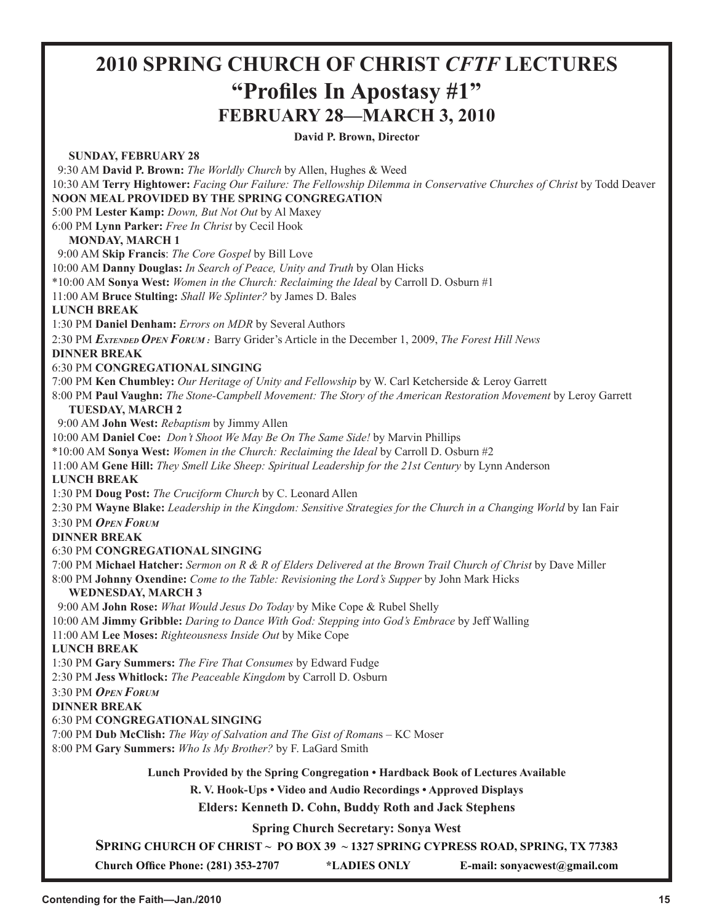# **2010 SPRING CHURCH OF CHRIST** *CFTF* **LECTURES "Profiles In Apostasy #1" FEBRUARY 28—MARCH 3, 2010**

**David P. Brown, Director**

**SUNDAY, FEBRUARY 28** 9:30 AM **David P. Brown:** *The Worldly Church* by Allen, Hughes & Weed 10:30 AM **Terry Hightower:** *Facing Our Failure: The Fellowship Dilemma in Conservative Churches of Christ* by Todd Deaver **NOON MEAL PROVIDED BY THE SPRING CONGREGATION** 5:00 PM **Lester Kamp:** *Down, But Not Out* by Al Maxey 6:00 PM **Lynn Parker:** *Free In Christ* by Cecil Hook **MONDAY, MARCH 1** 9:00 AM **Skip Francis**: *The Core Gospel* by Bill Love 10:00 AM **Danny Douglas:** *In Search of Peace, Unity and Truth* by Olan Hicks \*10:00 AM **Sonya West:** *Women in the Church: Reclaiming the Ideal* by Carroll D. Osburn #1 11:00 AM **Bruce Stulting:** *Shall We Splinter?* by James D. Bales **LUNCH BREAK** 1:30 PM **Daniel Denham:** *Errors on MDR* by Several Authors 2:30 PM *EXTENDED OPEN FORUM :* Barry Grider's Article in the December 1, 2009, *The Forest Hill News* **DINNER BREAK** 6:30 PM **CONGREGATIONAL SINGING** 7:00 PM **Ken Chumbley:** *Our Heritage of Unity and Fellowship* by W. Carl Ketcherside & Leroy Garrett 8:00 PM **Paul Vaughn:** *The Stone-Campbell Movement: The Story of the American Restoration Movement* by Leroy Garrett **TUESDAY, MARCH 2** 9:00 AM **John West:** *Rebaptism* by Jimmy Allen 10:00 AM **Daniel Coe:** *Don't Shoot We May Be On The Same Side!* by Marvin Phillips \*10:00 AM **Sonya West:** *Women in the Church: Reclaiming the Ideal* by Carroll D. Osburn #2 11:00 AM **Gene Hill:** *They Smell Like Sheep: Spiritual Leadership for the 21st Century* by Lynn Anderson **LUNCH BREAK** 1:30 PM **Doug Post:** *The Cruciform Church* by C. Leonard Allen 2:30 PM **Wayne Blake:** *Leadership in the Kingdom: Sensitive Strategies for the Church in a Changing World* by Ian Fair 3:30 PM *OPEN FORUM* **DINNER BREAK** 6:30 PM **CONGREGATIONAL SINGING** 7:00 PM **Michael Hatcher:** *Sermon on R & R of Elders Delivered at the Brown Trail Church of Christ* by Dave Miller 8:00 PM **Johnny Oxendine:** *Come to the Table: Revisioning the Lord's Supper* by John Mark Hicks **WEDNESDAY, MARCH 3** 9:00 AM **John Rose:** *What Would Jesus Do Today* by Mike Cope & Rubel Shelly 10:00 AM **Jimmy Gribble:** *Daring to Dance With God: Stepping into God's Embrace* by Jeff Walling 11:00 AM **Lee Moses:** *Righteousness Inside Out* by Mike Cope **LUNCH BREAK** 1:30 PM **Gary Summers:** *The Fire That Consumes* by Edward Fudge 2:30 PM **Jess Whitlock:** *The Peaceable Kingdom* by Carroll D. Osburn 3:30 PM *OPEN FORUM* **DINNER BREAK** 6:30 PM **CONGREGATIONAL SINGING** 7:00 PM **Dub McClish:** *The Way of Salvation and The Gist of Roman*s – KC Moser 8:00 PM **Gary Summers:** *Who Is My Brother?* by F. LaGard Smith **Lunch Provided by the Spring Congregation • Hardback Book of Lectures Available R. V. Hook-Ups • Video and Audio Recordings • Approved Displays Elders: Kenneth D. Cohn, Buddy Roth and Jack Stephens Spring Church Secretary: Sonya West**

**SPRING CHURCH OF CHRIST ~ PO BOX 39 ~ 1327 SPRING CYPRESS ROAD, SPRING, TX 77383**

**Church Office Phone: (281) 353-2707 \*LADIES ONLY E-mail: sonyacwest@gmail.com**